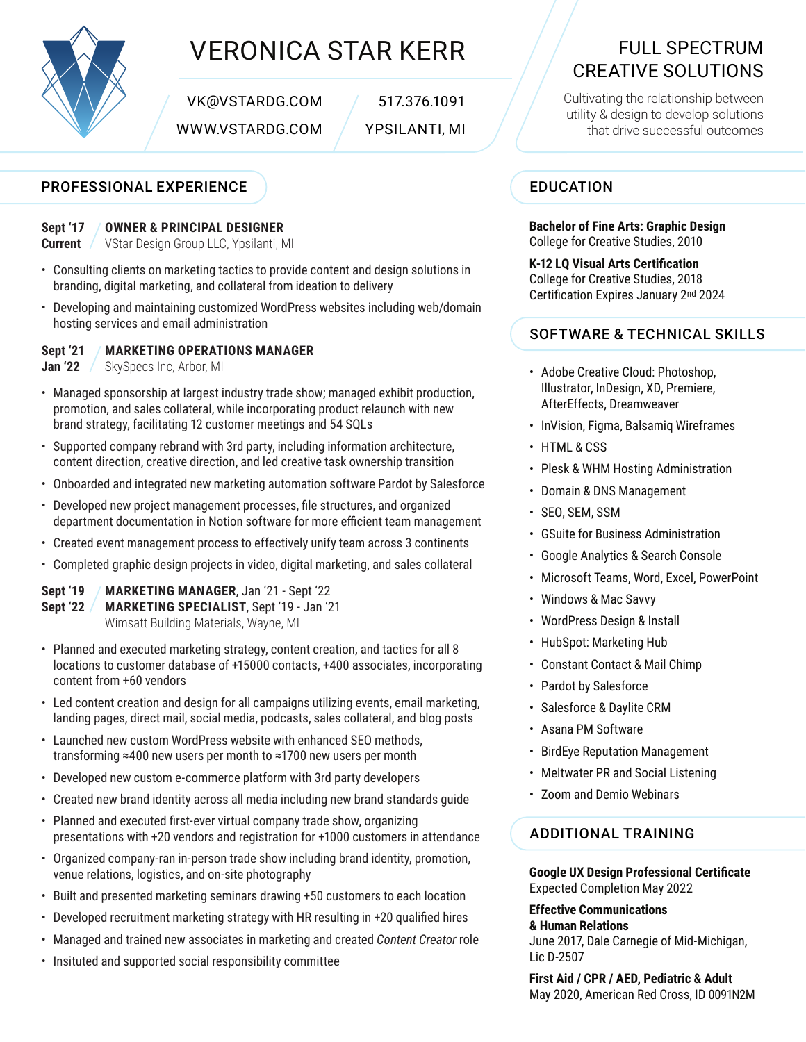

## VERONICA STAR KERR FULL SPECTRUM

VK@VSTARDG.COM / 517.376.1091

## PROFESSIONAL EXPERIENCE

#### **OWNER & PRINCIPAL DESIGNER Sept '17**

VStar Design Group LLC, Ypsilanti, MI **Current** 

- Consulting clients on marketing tactics to provide content and design solutions in branding, digital marketing, and collateral from ideation to delivery
- Developing and maintaining customized WordPress websites including web/domain hosting services and email administration

**MARKETING OPERATIONS MANAGER Sept '21**

SkySpecs Inc, Arbor, MI **Jan '22**

- Managed sponsorship at largest industry trade show; managed exhibit production, promotion, and sales collateral, while incorporating product relaunch with new brand strategy, facilitating 12 customer meetings and 54 SQLs
- Supported company rebrand with 3rd party, including information architecture, content direction, creative direction, and led creative task ownership transition
- Onboarded and integrated new marketing automation software Pardot by Salesforce
- Developed new project management processes, file structures, and organized department documentation in Notion software for more efficient team management
- Created event management process to effectively unify team across 3 continents
- Completed graphic design projects in video, digital marketing, and sales collateral

**MARKETING MANAGER**, Jan '21 - Sept '22 **MARKETING SPECIALIST**, Sept '19 - Jan '21 Wimsatt Building Materials, Wayne, MI **Sept '19 Sept '22**

- Planned and executed marketing strategy, content creation, and tactics for all 8 locations to customer database of +15000 contacts, +400 associates, incorporating content from +60 vendors
- Led content creation and design for all campaigns utilizing events, email marketing, landing pages, direct mail, social media, podcasts, sales collateral, and blog posts
- Launched new custom WordPress website with enhanced SEO methods, transforming ≈400 new users per month to ≈1700 new users per month
- Developed new custom e-commerce platform with 3rd party developers
- Created new brand identity across all media including new brand standards guide
- Planned and executed first-ever virtual company trade show, organizing presentations with +20 vendors and registration for +1000 customers in attendance
- Organized company-ran in-person trade show including brand identity, promotion, venue relations, logistics, and on-site photography
- Built and presented marketing seminars drawing +50 customers to each location
- Developed recruitment marketing strategy with HR resulting in +20 qualified hires
- Managed and trained new associates in marketing and created *Content Creator* role
- Insituted and supported social responsibility committee

# CREATIVE SOLUTIONS

Cultivating the relationship between utility & design to develop solutions WWW.VSTARDG.COM / YPSILANTI, MI  $\sqrt{\phantom{a}}$  that drive successful outcomes

## EDUCATION

**Bachelor of Fine Arts: Graphic Design** College for Creative Studies, 2010

**K-12 LQ Visual Arts Certification** College for Creative Studies, 2018 Certification Expires January 2nd 2024

## SOFTWARE & TECHNICAL SKILLS

- Adobe Creative Cloud: Photoshop, Illustrator, InDesign, XD, Premiere, AfterEffects, Dreamweaver
- InVision, Figma, Balsamiq Wireframes
- HTML & CSS
- Plesk & WHM Hosting Administration
- Domain & DNS Management
- SEO, SEM, SSM
- GSuite for Business Administration
- Google Analytics & Search Console
- Microsoft Teams, Word, Excel, PowerPoint
- Windows & Mac Savvy
- WordPress Design & Install
- HubSpot: Marketing Hub
- Constant Contact & Mail Chimp
- Pardot by Salesforce
- Salesforce & Daylite CRM
- Asana PM Software
- BirdEye Reputation Management
- Meltwater PR and Social Listening
- Zoom and Demio Webinars

## ADDITIONAL TRAINING

**Google UX Design Professional Certificate** Expected Completion May 2022

**Effective Communications**

**& Human Relations** June 2017, Dale Carnegie of Mid-Michigan, Lic D-2507

**First Aid / CPR / AED, Pediatric & Adult** May 2020, American Red Cross, ID 0091N2M